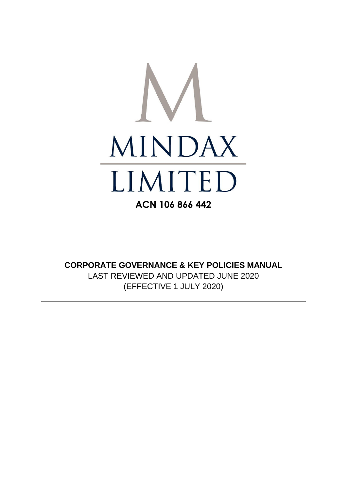

# **CORPORATE GOVERNANCE & KEY POLICIES MANUAL** LAST REVIEWED AND UPDATED JUNE 2020 (EFFECTIVE 1 JULY 2020)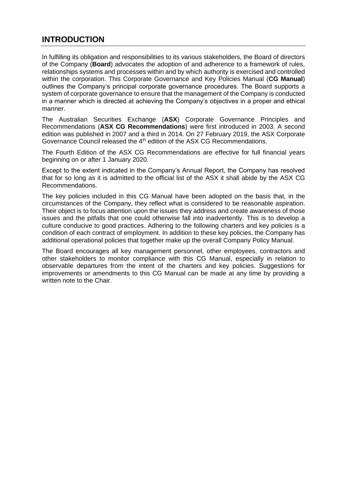# <span id="page-2-0"></span>**INTRODUCTION**

In fulfilling its obligation and responsibilities to its various stakeholders, the Board of directors of the Company (**Board**) advocates the adoption of and adherence to a framework of rules, relationships systems and processes within and by which authority is exercised and controlled within the corporation. This Corporate Governance and Key Policies Manual (**CG Manual**) outlines the Company's principal corporate governance procedures. The Board supports a system of corporate governance to ensure that the management of the Company is conducted in a manner which is directed at achieving the Company's objectives in a proper and ethical manner.

The Australian Securities Exchange (**ASX**) Corporate Governance Principles and Recommendations (**ASX CG Recommendations**) were first introduced in 2003. A second edition was published in 2007 and a third in 2014. On 27 February 2019, the ASX Corporate Governance Council released the 4<sup>th</sup> edition of the ASX CG Recommendations.

The Fourth Edition of the ASX CG Recommendations are effective for full financial years beginning on or after 1 January 2020.

Except to the extent indicated in the Company's Annual Report, the Company has resolved that for so long as it is admitted to the official list of the ASX it shall abide by the ASX CG Recommendations.

The key policies included in this CG Manual have been adopted on the basis that, in the circumstances of the Company, they reflect what is considered to be reasonable aspiration. Their object is to focus attention upon the issues they address and create awareness of those issues and the pitfalls that one could otherwise fall into inadvertently. This is to develop a culture conducive to good practices. Adhering to the following charters and key policies is a condition of each contract of employment. In addition to these key policies, the Company has additional operational policies that together make up the overall Company Policy Manual.

The Board encourages all key management personnel, other employees, contractors and other stakeholders to monitor compliance with this CG Manual, especially in relation to observable departures from the intent of the charters and key policies. Suggestions for improvements or amendments to this CG Manual can be made at any time by providing a written note to the Chair.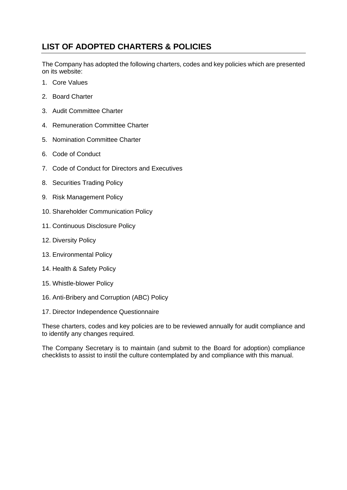# <span id="page-3-0"></span>**LIST OF ADOPTED CHARTERS & POLICIES**

The Company has adopted the following charters, codes and key policies which are presented on its website:

- 1. Core Values
- 2. Board Charter
- 3. Audit Committee Charter
- 4. Remuneration Committee Charter
- 5. Nomination Committee Charter
- 6. Code of Conduct
- 7. Code of Conduct for Directors and Executives
- 8. Securities Trading Policy
- 9. Risk Management Policy
- 10. Shareholder Communication Policy
- 11. Continuous Disclosure Policy
- 12. Diversity Policy
- 13. Environmental Policy
- 14. Health & Safety Policy
- 15. Whistle-blower Policy
- 16. Anti-Bribery and Corruption (ABC) Policy
- 17. Director Independence Questionnaire

These charters, codes and key policies are to be reviewed annually for audit compliance and to identify any changes required.

The Company Secretary is to maintain (and submit to the Board for adoption) compliance checklists to assist to instil the culture contemplated by and compliance with this manual.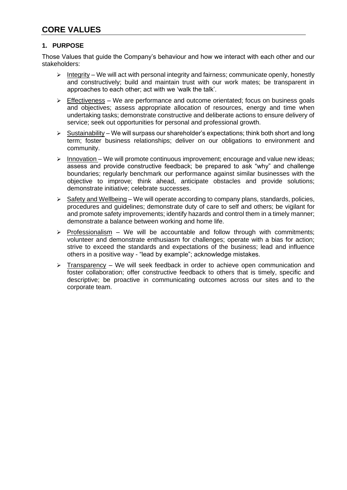## <span id="page-4-0"></span>**1. PURPOSE**

Those Values that guide the Company's behaviour and how we interact with each other and our stakeholders:

- $\triangleright$  Integrity We will act with personal integrity and fairness; communicate openly, honestly and constructively; build and maintain trust with our work mates; be transparent in approaches to each other; act with we 'walk the talk'.
- $\triangleright$  Effectiveness We are performance and outcome orientated; focus on business goals and objectives; assess appropriate allocation of resources, energy and time when undertaking tasks; demonstrate constructive and deliberate actions to ensure delivery of service; seek out opportunities for personal and professional growth.
- $\triangleright$  Sustainability We will surpass our shareholder's expectations; think both short and long term; foster business relationships; deliver on our obligations to environment and community.
- ➢ Innovation We will promote continuous improvement; encourage and value new ideas; assess and provide constructive feedback; be prepared to ask "why" and challenge boundaries; regularly benchmark our performance against similar businesses with the objective to improve; think ahead, anticipate obstacles and provide solutions; demonstrate initiative; celebrate successes.
- ➢ Safety and Wellbeing We will operate according to company plans, standards, policies, procedures and guidelines; demonstrate duty of care to self and others; be vigilant for and promote safety improvements; identify hazards and control them in a timely manner; demonstrate a balance between working and home life.
- $\triangleright$  Professionalism We will be accountable and follow through with commitments; volunteer and demonstrate enthusiasm for challenges; operate with a bias for action; strive to exceed the standards and expectations of the business; lead and influence others in a positive way - "lead by example"; acknowledge mistakes.
- ➢ Transparency We will seek feedback in order to achieve open communication and foster collaboration; offer constructive feedback to others that is timely, specific and descriptive; be proactive in communicating outcomes across our sites and to the corporate team.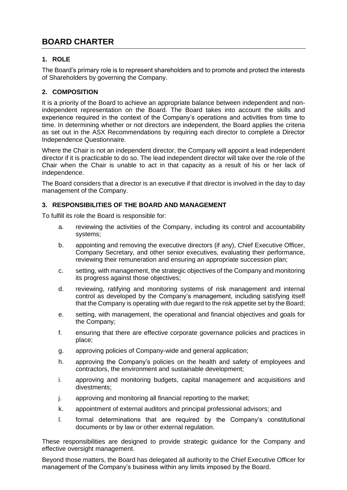# **BOARD CHARTER**

# **1. ROLE**

The Board's primary role is to represent shareholders and to promote and protect the interests of Shareholders by governing the Company.

# **2. COMPOSITION**

It is a priority of the Board to achieve an appropriate balance between independent and nonindependent representation on the Board. The Board takes into account the skills and experience required in the context of the Company's operations and activities from time to time. In determining whether or not directors are independent, the Board applies the criteria as set out in the ASX Recommendations by requiring each director to complete a Director Independence Questionnaire.

Where the Chair is not an independent director, the Company will appoint a lead independent director if it is practicable to do so. The lead independent director will take over the role of the Chair when the Chair is unable to act in that capacity as a result of his or her lack of independence.

The Board considers that a director is an executive if that director is involved in the day to day management of the Company.

## **3. RESPONSIBILITIES OF THE BOARD AND MANAGEMENT**

To fulfill its role the Board is responsible for:

- a. reviewing the activities of the Company, including its control and accountability systems;
- b. appointing and removing the executive directors (if any), Chief Executive Officer, Company Secretary, and other senior executives, evaluating their performance, reviewing their remuneration and ensuring an appropriate succession plan;
- c. setting, with management, the strategic objectives of the Company and monitoring its progress against those objectives;
- d. reviewing, ratifying and monitoring systems of risk management and internal control as developed by the Company's management, including satisfying itself that the Company is operating with due regard to the risk appetite set by the Board;
- e. setting, with management, the operational and financial objectives and goals for the Company;
- f. ensuring that there are effective corporate governance policies and practices in place;
- g. approving policies of Company-wide and general application;
- h. approving the Company's policies on the health and safety of employees and contractors, the environment and sustainable development;
- i. approving and monitoring budgets, capital management and acquisitions and divestments;
- j. approving and monitoring all financial reporting to the market;
- k. appointment of external auditors and principal professional advisors; and
- l. formal determinations that are required by the Company's constitutional documents or by law or other external regulation.

These responsibilities are designed to provide strategic guidance for the Company and effective oversight management.

Beyond those matters, the Board has delegated all authority to the Chief Executive Officer for management of the Company's business within any limits imposed by the Board.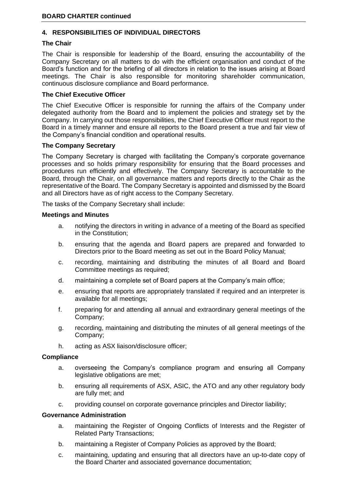## **4. RESPONSIBILITIES OF INDIVIDUAL DIRECTORS**

### **The Chair**

The Chair is responsible for leadership of the Board, ensuring the accountability of the Company Secretary on all matters to do with the efficient organisation and conduct of the Board's function and for the briefing of all directors in relation to the issues arising at Board meetings. The Chair is also responsible for monitoring shareholder communication, continuous disclosure compliance and Board performance.

#### **The Chief Executive Officer**

The Chief Executive Officer is responsible for running the affairs of the Company under delegated authority from the Board and to implement the policies and strategy set by the Company. In carrying out those responsibilities, the Chief Executive Officer must report to the Board in a timely manner and ensure all reports to the Board present a true and fair view of the Company's financial condition and operational results.

#### **The Company Secretary**

The Company Secretary is charged with facilitating the Company's corporate governance processes and so holds primary responsibility for ensuring that the Board processes and procedures run efficiently and effectively. The Company Secretary is accountable to the Board, through the Chair, on all governance matters and reports directly to the Chair as the representative of the Board. The Company Secretary is appointed and dismissed by the Board and all Directors have as of right access to the Company Secretary.

The tasks of the Company Secretary shall include:

#### **Meetings and Minutes**

- a. notifying the directors in writing in advance of a meeting of the Board as specified in the Constitution;
- b. ensuring that the agenda and Board papers are prepared and forwarded to Directors prior to the Board meeting as set out in the Board Policy Manual;
- c. recording, maintaining and distributing the minutes of all Board and Board Committee meetings as required;
- d. maintaining a complete set of Board papers at the Company's main office;
- e. ensuring that reports are appropriately translated if required and an interpreter is available for all meetings;
- f. preparing for and attending all annual and extraordinary general meetings of the Company;
- g. recording, maintaining and distributing the minutes of all general meetings of the Company;
- h. acting as ASX liaison/disclosure officer;

#### **Compliance**

- a. overseeing the Company's compliance program and ensuring all Company legislative obligations are met;
- b. ensuring all requirements of ASX, ASIC, the ATO and any other regulatory body are fully met; and
- c. providing counsel on corporate governance principles and Director liability;

### **Governance Administration**

- a. maintaining the Register of Ongoing Conflicts of Interests and the Register of Related Party Transactions;
- b. maintaining a Register of Company Policies as approved by the Board;
- c. maintaining, updating and ensuring that all directors have an up-to-date copy of the Board Charter and associated governance documentation;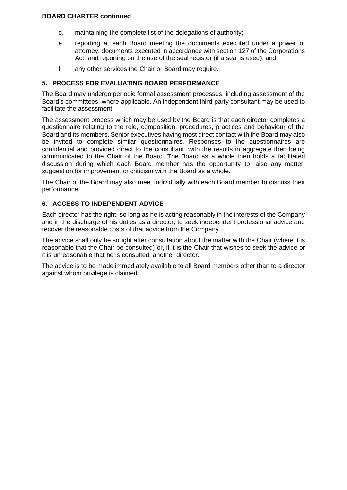- d. maintaining the complete list of the delegations of authority;
- e. reporting at each Board meeting the documents executed under a power of attorney, documents executed in accordance with section 127 of the Corporations Act, and reporting on the use of the seal register (if a seal is used); and
- f. any other services the Chair or Board may require.

### **5. PROCESS FOR EVALUATING BOARD PERFORMANCE**

The Board may undergo periodic formal assessment processes, including assessment of the Board's committees, where applicable. An independent third-party consultant may be used to facilitate the assessment.

The assessment process which may be used by the Board is that each director completes a questionnaire relating to the role, composition, procedures, practices and behaviour of the Board and its members. Senior executives having most direct contact with the Board may also be invited to complete similar questionnaires. Responses to the questionnaires are confidential and provided direct to the consultant, with the results in aggregate then being communicated to the Chair of the Board. The Board as a whole then holds a facilitated discussion during which each Board member has the opportunity to raise any matter, suggestion for improvement or criticism with the Board as a whole.

The Chair of the Board may also meet individually with each Board member to discuss their performance.

## **6. ACCESS TO INDEPENDENT ADVICE**

Each director has the right, so long as he is acting reasonably in the interests of the Company and in the discharge of his duties as a director, to seek independent professional advice and recover the reasonable costs of that advice from the Company.

The advice shall only be sought after consultation about the matter with the Chair (where it is reasonable that the Chair be consulted) or, if it is the Chair that wishes to seek the advice or it is unreasonable that he is consulted, another director.

The advice is to be made immediately available to all Board members other than to a director against whom privilege is claimed.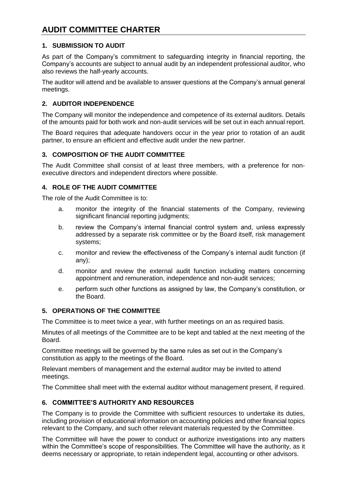## <span id="page-8-0"></span>**1. SUBMISSION TO AUDIT**

As part of the Company's commitment to safeguarding integrity in financial reporting, the Company's accounts are subject to annual audit by an independent professional auditor, who also reviews the half-yearly accounts.

The auditor will attend and be available to answer questions at the Company's annual general meetings.

## **2. AUDITOR INDEPENDENCE**

The Company will monitor the independence and competence of its external auditors. Details of the amounts paid for both work and non-audit services will be set out in each annual report.

The Board requires that adequate handovers occur in the year prior to rotation of an audit partner, to ensure an efficient and effective audit under the new partner.

## **3. COMPOSITION OF THE AUDIT COMMITTEE**

The Audit Committee shall consist of at least three members, with a preference for nonexecutive directors and independent directors where possible.

## **4. ROLE OF THE AUDIT COMMITTEE**

The role of the Audit Committee is to:

- a. monitor the integrity of the financial statements of the Company, reviewing significant financial reporting judgments;
- b. review the Company's internal financial control system and, unless expressly addressed by a separate risk committee or by the Board itself, risk management systems;
- c. monitor and review the effectiveness of the Company's internal audit function (if any);
- d. monitor and review the external audit function including matters concerning appointment and remuneration, independence and non-audit services;
- e. perform such other functions as assigned by law, the Company's constitution, or the Board.

### **5. OPERATIONS OF THE COMMITTEE**

The Committee is to meet twice a year, with further meetings on an as required basis.

Minutes of all meetings of the Committee are to be kept and tabled at the next meeting of the Board.

Committee meetings will be governed by the same rules as set out in the Company's constitution as apply to the meetings of the Board.

Relevant members of management and the external auditor may be invited to attend meetings.

The Committee shall meet with the external auditor without management present, if required.

## **6. COMMITTEE'S AUTHORITY AND RESOURCES**

The Company is to provide the Committee with sufficient resources to undertake its duties, including provision of educational information on accounting policies and other financial topics relevant to the Company, and such other relevant materials requested by the Committee.

The Committee will have the power to conduct or authorize investigations into any matters within the Committee's scope of responsibilities. The Committee will have the authority, as it deems necessary or appropriate, to retain independent legal, accounting or other advisors.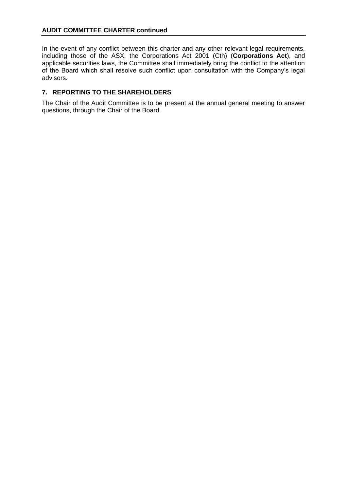### **AUDIT COMMITTEE CHARTER continued**

In the event of any conflict between this charter and any other relevant legal requirements, including those of the ASX, the Corporations Act 2001 (Cth) (**Corporations Act**), and applicable securities laws, the Committee shall immediately bring the conflict to the attention of the Board which shall resolve such conflict upon consultation with the Company's legal advisors.

## **7. REPORTING TO THE SHAREHOLDERS**

The Chair of the Audit Committee is to be present at the annual general meeting to answer questions, through the Chair of the Board.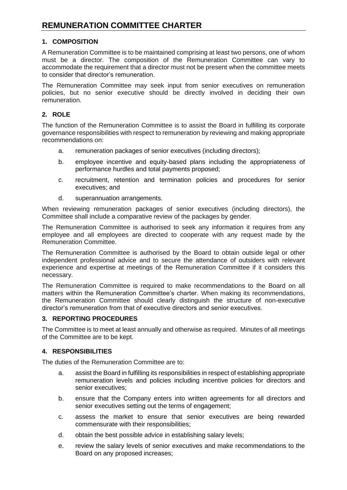# <span id="page-10-0"></span>**1. COMPOSITION**

A Remuneration Committee is to be maintained comprising at least two persons, one of whom must be a director. The composition of the Remuneration Committee can vary to accommodate the requirement that a director must not be present when the committee meets to consider that director's remuneration.

The Remuneration Committee may seek input from senior executives on remuneration policies, but no senior executive should be directly involved in deciding their own remuneration.

## **2. ROLE**

The function of the Remuneration Committee is to assist the Board in fulfilling its corporate governance responsibilities with respect to remuneration by reviewing and making appropriate recommendations on:

- a. remuneration packages of senior executives (including directors);
- b. employee incentive and equity-based plans including the appropriateness of performance hurdles and total payments proposed;
- c. recruitment, retention and termination policies and procedures for senior executives; and
- d. superannuation arrangements.

When reviewing remuneration packages of senior executives (including directors), the Committee shall include a comparative review of the packages by gender.

The Remuneration Committee is authorised to seek any information it requires from any employee and all employees are directed to cooperate with any request made by the Remuneration Committee.

The Remuneration Committee is authorised by the Board to obtain outside legal or other independent professional advice and to secure the attendance of outsiders with relevant experience and expertise at meetings of the Remuneration Committee if it considers this necessary.

The Remuneration Committee is required to make recommendations to the Board on all matters within the Remuneration Committee's charter. When making its recommendations, the Remuneration Committee should clearly distinguish the structure of non-executive director's remuneration from that of executive directors and senior executives.

### **3. REPORTING PROCEDURES**

The Committee is to meet at least annually and otherwise as required. Minutes of all meetings of the Committee are to be kept.

## **4. RESPONSIBILITIES**

The duties of the Remuneration Committee are to:

- a. assist the Board in fulfilling its responsibilities in respect of establishing appropriate remuneration levels and policies including incentive policies for directors and senior executives;
- b. ensure that the Company enters into written agreements for all directors and senior executives setting out the terms of engagement;
- c. assess the market to ensure that senior executives are being rewarded commensurate with their responsibilities;
- d. obtain the best possible advice in establishing salary levels;
- e. review the salary levels of senior executives and make recommendations to the Board on any proposed increases;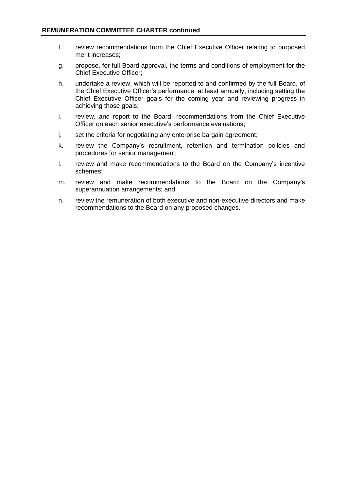- f. review recommendations from the Chief Executive Officer relating to proposed merit increases;
- g. propose, for full Board approval, the terms and conditions of employment for the Chief Executive Officer;
- h. undertake a review, which will be reported to and confirmed by the full Board, of the Chief Executive Officer's performance, at least annually, including setting the Chief Executive Officer goals for the coming year and reviewing progress in achieving those goals;
- i. review, and report to the Board, recommendations from the Chief Executive Officer on each senior executive's performance evaluations;
- j. set the criteria for negotiating any enterprise bargain agreement;
- k. review the Company's recruitment, retention and termination policies and procedures for senior management;
- l. review and make recommendations to the Board on the Company's incentive schemes;
- m. review and make recommendations to the Board on the Company's superannuation arrangements; and
- n. review the remuneration of both executive and non-executive directors and make recommendations to the Board on any proposed changes.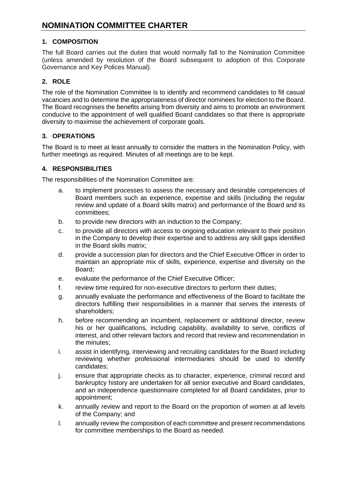# <span id="page-12-0"></span>**1. COMPOSITION**

The full Board carries out the duties that would normally fall to the Nomination Committee (unless amended by resolution of the Board subsequent to adoption of this Corporate Governance and Key Polices Manual).

# **2. ROLE**

The role of the Nomination Committee is to identify and recommend candidates to fill casual vacancies and to determine the appropriateness of director nominees for election to the Board. The Board recognises the benefits arising from diversity and aims to promote an environment conducive to the appointment of well qualified Board candidates so that there is appropriate diversity to maximise the achievement of corporate goals.

# **3. OPERATIONS**

The Board is to meet at least annually to consider the matters in the Nomination Policy, with further meetings as required. Minutes of all meetings are to be kept.

## **4. RESPONSIBILITIES**

The responsibilities of the Nomination Committee are:

- a. to implement processes to assess the necessary and desirable competencies of Board members such as experience, expertise and skills (including the regular review and update of a Board skills matrix) and performance of the Board and its committees;
- b. to provide new directors with an induction to the Company;
- c. to provide all directors with access to ongoing education relevant to their position in the Company to develop their expertise and to address any skill gaps identified in the Board skills matrix;
- d. provide a succession plan for directors and the Chief Executive Officer in order to maintain an appropriate mix of skills, experience, expertise and diversity on the Board;
- e. evaluate the performance of the Chief Executive Officer;
- f. review time required for non-executive directors to perform their duties;
- g. annually evaluate the performance and effectiveness of the Board to facilitate the directors fulfilling their responsibilities in a manner that serves the interests of shareholders;
- h. before recommending an incumbent, replacement or additional director, review his or her qualifications, including capability, availability to serve, conflicts of interest, and other relevant factors and record that review and recommendation in the minutes;
- i. assist in identifying, interviewing and recruiting candidates for the Board including reviewing whether professional intermediaries should be used to identify candidates;
- j. ensure that appropriate checks as to character, experience, criminal record and bankruptcy history are undertaken for all senior executive and Board candidates, and an independence questionnaire completed for all Board candidates, prior to appointment;
- k. annually review and report to the Board on the proportion of women at all levels of the Company; and
- l. annually review the composition of each committee and present recommendations for committee memberships to the Board as needed.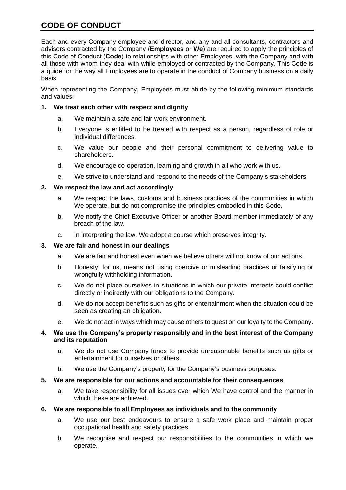# <span id="page-13-0"></span>**CODE OF CONDUCT**

Each and every Company employee and director, and any and all consultants, contractors and advisors contracted by the Company (**Employees** or **We**) are required to apply the principles of this Code of Conduct (**Code**) to relationships with other Employees, with the Company and with all those with whom they deal with while employed or contracted by the Company. This Code is a guide for the way all Employees are to operate in the conduct of Company business on a daily basis.

When representing the Company, Employees must abide by the following minimum standards and values:

## **1. We treat each other with respect and dignity**

- a. We maintain a safe and fair work environment.
- b. Everyone is entitled to be treated with respect as a person, regardless of role or individual differences.
- c. We value our people and their personal commitment to delivering value to shareholders.
- d. We encourage co-operation, learning and growth in all who work with us.
- e. We strive to understand and respond to the needs of the Company's stakeholders.

## **2. We respect the law and act accordingly**

- a. We respect the laws, customs and business practices of the communities in which We operate, but do not compromise the principles embodied in this Code.
- b. We notify the Chief Executive Officer or another Board member immediately of any breach of the law.
- c. In interpreting the law, We adopt a course which preserves integrity.

### **3. We are fair and honest in our dealings**

- a. We are fair and honest even when we believe others will not know of our actions.
- b. Honesty, for us, means not using coercive or misleading practices or falsifying or wrongfully withholding information.
- c. We do not place ourselves in situations in which our private interests could conflict directly or indirectly with our obligations to the Company.
- d. We do not accept benefits such as gifts or entertainment when the situation could be seen as creating an obligation.
- e. We do not act in ways which may cause others to question our loyalty to the Company.

### **4. We use the Company's property responsibly and in the best interest of the Company and its reputation**

- a. We do not use Company funds to provide unreasonable benefits such as gifts or entertainment for ourselves or others.
- b. We use the Company's property for the Company's business purposes.
- **5. We are responsible for our actions and accountable for their consequences**
	- a. We take responsibility for all issues over which We have control and the manner in which these are achieved.

### **6. We are responsible to all Employees as individuals and to the community**

- a. We use our best endeavours to ensure a safe work place and maintain proper occupational health and safety practices.
- b. We recognise and respect our responsibilities to the communities in which we operate.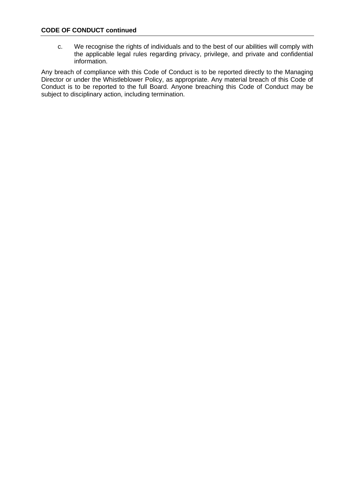### **CODE OF CONDUCT continued**

c. We recognise the rights of individuals and to the best of our abilities will comply with the applicable legal rules regarding privacy, privilege, and private and confidential information.

Any breach of compliance with this Code of Conduct is to be reported directly to the Managing Director or under the Whistleblower Policy, as appropriate. Any material breach of this Code of Conduct is to be reported to the full Board. Anyone breaching this Code of Conduct may be subject to disciplinary action, including termination.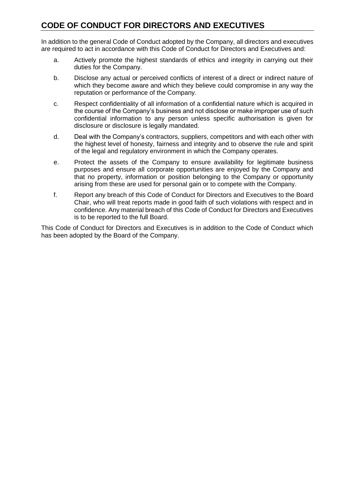# <span id="page-15-0"></span>**CODE OF CONDUCT FOR DIRECTORS AND EXECUTIVES**

In addition to the general Code of Conduct adopted by the Company, all directors and executives are required to act in accordance with this Code of Conduct for Directors and Executives and:

- a. Actively promote the highest standards of ethics and integrity in carrying out their duties for the Company.
- b. Disclose any actual or perceived conflicts of interest of a direct or indirect nature of which they become aware and which they believe could compromise in any way the reputation or performance of the Company.
- c. Respect confidentiality of all information of a confidential nature which is acquired in the course of the Company's business and not disclose or make improper use of such confidential information to any person unless specific authorisation is given for disclosure or disclosure is legally mandated.
- d. Deal with the Company's contractors, suppliers, competitors and with each other with the highest level of honesty, fairness and integrity and to observe the rule and spirit of the legal and regulatory environment in which the Company operates.
- e. Protect the assets of the Company to ensure availability for legitimate business purposes and ensure all corporate opportunities are enjoyed by the Company and that no property, information or position belonging to the Company or opportunity arising from these are used for personal gain or to compete with the Company.
- f. Report any breach of this Code of Conduct for Directors and Executives to the Board Chair, who will treat reports made in good faith of such violations with respect and in confidence. Any material breach of this Code of Conduct for Directors and Executives is to be reported to the full Board.

This Code of Conduct for Directors and Executives is in addition to the Code of Conduct which has been adopted by the Board of the Company.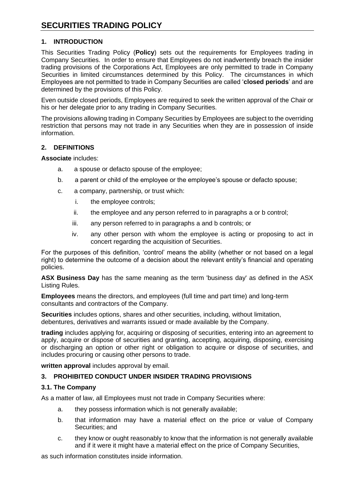# <span id="page-16-0"></span>**1. INTRODUCTION**

This Securities Trading Policy (**Policy**) sets out the requirements for Employees trading in Company Securities. In order to ensure that Employees do not inadvertently breach the insider trading provisions of the Corporations Act, Employees are only permitted to trade in Company Securities in limited circumstances determined by this Policy. The circumstances in which Employees are not permitted to trade in Company Securities are called '**closed periods**' and are determined by the provisions of this Policy.

Even outside closed periods, Employees are required to seek the written approval of the Chair or his or her delegate prior to any trading in Company Securities.

The provisions allowing trading in Company Securities by Employees are subject to the overriding restriction that persons may not trade in any Securities when they are in possession of inside information.

## **2. DEFINITIONS**

<span id="page-16-1"></span>**Associate** includes:

- a. a spouse or defacto spouse of the employee;
- <span id="page-16-2"></span>b. a parent or child of the employee or the employee's spouse or defacto spouse;
- c. a company, partnership, or trust which:
	- i. the employee controls;
	- ii. the employee and any person referred to in paragraphs [a](#page-16-1) or [b](#page-16-2) control;
	- iii. any person referred to in paragraphs [a](#page-16-1) and [b](#page-16-2) controls; or
	- iv. any other person with whom the employee is acting or proposing to act in concert regarding the acquisition of Securities.

For the purposes of this definition, 'control' means the ability (whether or not based on a legal right) to determine the outcome of a decision about the relevant entity's financial and operating policies.

**ASX Business Day** has the same meaning as the term 'business day' as defined in the ASX Listing Rules.

**Employees** means the directors, and employees (full time and part time) and long-term consultants and contractors of the Company.

**Securities** includes options, shares and other securities, including, without limitation, debentures, derivatives and warrants issued or made available by the Company.

**trading** includes applying for, acquiring or disposing of securities, entering into an agreement to apply, acquire or dispose of securities and granting, accepting, acquiring, disposing, exercising or discharging an option or other right or obligation to acquire or dispose of securities, and includes procuring or causing other persons to trade.

**written approval** includes approval by email.

# **3. PROHIBITED CONDUCT UNDER INSIDER TRADING PROVISIONS**

## **3.1. The Company**

As a matter of law, all Employees must not trade in Company Securities where:

- a. they possess information which is not generally available;
- b. that information may have a material effect on the price or value of Company Securities; and
- c. they know or ought reasonably to know that the information is not generally available and if it were it might have a material effect on the price of Company Securities,

as such information constitutes inside information.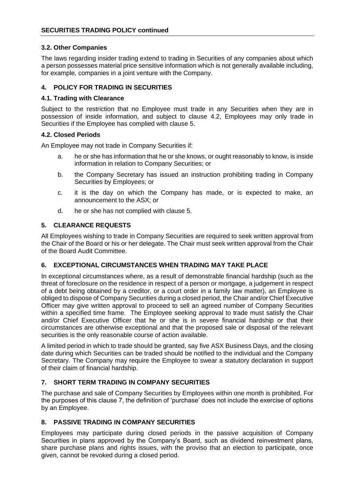### **3.2. Other Companies**

The laws regarding insider trading extend to trading in Securities of any companies about which a person possesses material price sensitive information which is not generally available including, for example, companies in a joint venture with the Company.

### **4. POLICY FOR TRADING IN SECURITIES**

#### **4.1. Trading with Clearance**

Subject to the restriction that no Employee must trade in any Securities when they are in possession of inside information, and subject to clause [4.2,](#page-17-0) Employees may only trade in Securities if the Employee has complied with clause 5.

### <span id="page-17-0"></span>**4.2. Closed Periods**

An Employee may not trade in Company Securities if:

- a. he or she has information that he or she knows, or ought reasonably to know, is inside information in relation to Company Securities; or
- b. the Company Secretary has issued an instruction prohibiting trading in Company Securities by Employees; or
- c. it is the day on which the Company has made, or is expected to make, an announcement to the ASX; or
- d. he or she has not complied with clause 5.

## **5. CLEARANCE REQUESTS**

All Employees wishing to trade in Company Securities are required to seek written approval from the Chair of the Board or his or her delegate. The Chair must seek written approval from the Chair of the Board Audit Committee.

### **6. EXCEPTIONAL CIRCUMSTANCES WHEN TRADING MAY TAKE PLACE**

In exceptional circumstances where, as a result of demonstrable financial hardship (such as the threat of foreclosure on the residence in respect of a person or mortgage, a judgement in respect of a debt being obtained by a creditor, or a court order in a family law matter), an Employee is obliged to dispose of Company Securities during a closed period, the Chair and/or Chief Executive Officer may give written approval to proceed to sell an agreed number of Company Securities within a specified time frame. The Employee seeking approval to trade must satisfy the Chair and/or Chief Executive Officer that he or she is in severe financial hardship or that their circumstances are otherwise exceptional and that the proposed sale or disposal of the relevant securities is the only reasonable course of action available.

A limited period in which to trade should be granted, say five ASX Business Days, and the closing date during which Securities can be traded should be notified to the individual and the Company Secretary. The Company may require the Employee to swear a statutory declaration in support of their claim of financial hardship.

## **7. SHORT TERM TRADING IN COMPANY SECURITIES**

The purchase and sale of Company Securities by Employees within one month is prohibited. For the purposes of this clause 7, the definition of 'purchase' does not include the exercise of options by an Employee.

## **8. PASSIVE TRADING IN COMPANY SECURITIES**

Employees may participate during closed periods in the passive acquisition of Company Securities in plans approved by the Company's Board, such as dividend reinvestment plans, share purchase plans and rights issues, with the proviso that an election to participate, once given, cannot be revoked during a closed period.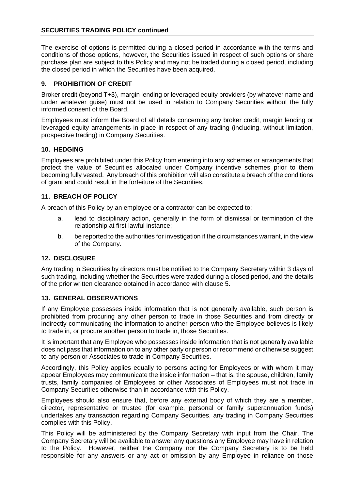#### **SECURITIES TRADING POLICY continued**

The exercise of options is permitted during a closed period in accordance with the terms and conditions of those options, however, the Securities issued in respect of such options or share purchase plan are subject to this Policy and may not be traded during a closed period, including the closed period in which the Securities have been acquired.

## **9. PROHIBITION OF CREDIT**

Broker credit (beyond T+3), margin lending or leveraged equity providers (by whatever name and under whatever guise) must not be used in relation to Company Securities without the fully informed consent of the Board.

Employees must inform the Board of all details concerning any broker credit, margin lending or leveraged equity arrangements in place in respect of any trading (including, without limitation, prospective trading) in Company Securities.

### **10. HEDGING**

Employees are prohibited under this Policy from entering into any schemes or arrangements that protect the value of Securities allocated under Company incentive schemes prior to them becoming fully vested. Any breach of this prohibition will also constitute a breach of the conditions of grant and could result in the forfeiture of the Securities.

## **11. BREACH OF POLICY**

A breach of this Policy by an employee or a contractor can be expected to:

- a. lead to disciplinary action, generally in the form of dismissal or termination of the relationship at first lawful instance;
- b. be reported to the authorities for investigation if the circumstances warrant, in the view of the Company.

### **12. DISCLOSURE**

Any trading in Securities by directors must be notified to the Company Secretary within 3 days of such trading, including whether the Securities were traded during a closed period, and the details of the prior written clearance obtained in accordance with clause 5.

### **13. GENERAL OBSERVATIONS**

If any Employee possesses inside information that is not generally available, such person is prohibited from procuring any other person to trade in those Securities and from directly or indirectly communicating the information to another person who the Employee believes is likely to trade in, or procure another person to trade in, those Securities.

It is important that any Employee who possesses inside information that is not generally available does not pass that information on to any other party or person or recommend or otherwise suggest to any person or Associates to trade in Company Securities.

Accordingly, this Policy applies equally to persons acting for Employees or with whom it may appear Employees may communicate the inside information – that is, the spouse, children, family trusts, family companies of Employees or other Associates of Employees must not trade in Company Securities otherwise than in accordance with this Policy.

Employees should also ensure that, before any external body of which they are a member, director, representative or trustee (for example, personal or family superannuation funds) undertakes any transaction regarding Company Securities, any trading in Company Securities complies with this Policy.

This Policy will be administered by the Company Secretary with input from the Chair. The Company Secretary will be available to answer any questions any Employee may have in relation to the Policy. However, neither the Company nor the Company Secretary is to be held responsible for any answers or any act or omission by any Employee in reliance on those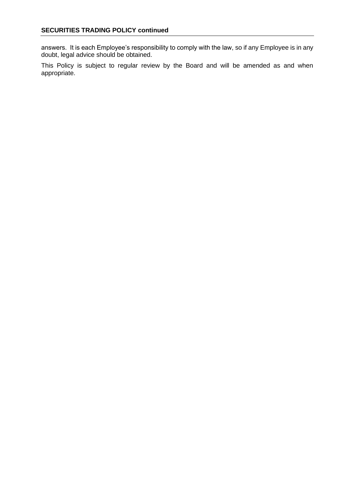answers. It is each Employee's responsibility to comply with the law, so if any Employee is in any doubt, legal advice should be obtained.

This Policy is subject to regular review by the Board and will be amended as and when appropriate.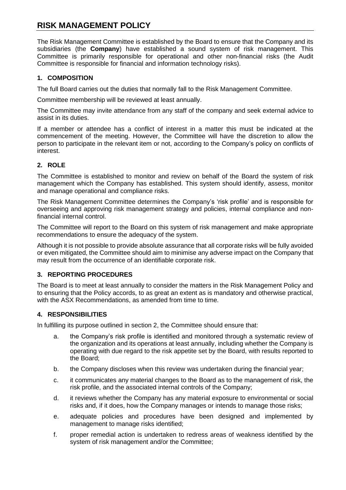# <span id="page-20-0"></span>**RISK MANAGEMENT POLICY**

The Risk Management Committee is established by the Board to ensure that the Company and its subsidiaries (the **Company**) have established a sound system of risk management. This Committee is primarily responsible for operational and other non-financial risks (the Audit Committee is responsible for financial and information technology risks).

# **1. COMPOSITION**

The full Board carries out the duties that normally fall to the Risk Management Committee.

Committee membership will be reviewed at least annually.

The Committee may invite attendance from any staff of the company and seek external advice to assist in its duties.

If a member or attendee has a conflict of interest in a matter this must be indicated at the commencement of the meeting. However, the Committee will have the discretion to allow the person to participate in the relevant item or not, according to the Company's policy on conflicts of interest.

# **2. ROLE**

The Committee is established to monitor and review on behalf of the Board the system of risk management which the Company has established. This system should identify, assess, monitor and manage operational and compliance risks.

The Risk Management Committee determines the Company's 'risk profile' and is responsible for overseeing and approving risk management strategy and policies, internal compliance and nonfinancial internal control.

The Committee will report to the Board on this system of risk management and make appropriate recommendations to ensure the adequacy of the system.

Although it is not possible to provide absolute assurance that all corporate risks will be fully avoided or even mitigated, the Committee should aim to minimise any adverse impact on the Company that may result from the occurrence of an identifiable corporate risk.

## **3. REPORTING PROCEDURES**

The Board is to meet at least annually to consider the matters in the Risk Management Policy and to ensuring that the Policy accords, to as great an extent as is mandatory and otherwise practical, with the ASX Recommendations, as amended from time to time.

## **4. RESPONSIBILITIES**

In fulfilling its purpose outlined in section 2, the Committee should ensure that:

- a. the Company's risk profile is identified and monitored through a systematic review of the organization and its operations at least annually, including whether the Company is operating with due regard to the risk appetite set by the Board, with results reported to the Board;
- b. the Company discloses when this review was undertaken during the financial year;
- c. it communicates any material changes to the Board as to the management of risk, the risk profile, and the associated internal controls of the Company;
- d. it reviews whether the Company has any material exposure to environmental or social risks and, if it does, how the Company manages or intends to manage those risks;
- e. adequate policies and procedures have been designed and implemented by management to manage risks identified;
- f. proper remedial action is undertaken to redress areas of weakness identified by the system of risk management and/or the Committee;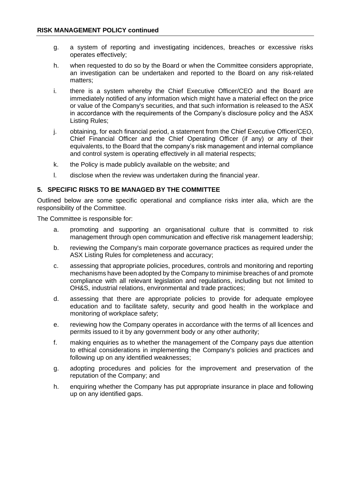- g. a system of reporting and investigating incidences, breaches or excessive risks operates effectively;
- h. when requested to do so by the Board or when the Committee considers appropriate, an investigation can be undertaken and reported to the Board on any risk-related matters;
- i. there is a system whereby the Chief Executive Officer/CEO and the Board are immediately notified of any information which might have a material effect on the price or value of the Company's securities, and that such information is released to the ASX in accordance with the requirements of the Company's disclosure policy and the ASX Listing Rules;
- j. obtaining, for each financial period, a statement from the Chief Executive Officer/CEO, Chief Financial Officer and the Chief Operating Officer (if any) or any of their equivalents, to the Board that the company's risk management and internal compliance and control system is operating effectively in all material respects;
- k. the Policy is made publicly available on the website; and
- l. disclose when the review was undertaken during the financial year.

#### **5. SPECIFIC RISKS TO BE MANAGED BY THE COMMITTEE**

Outlined below are some specific operational and compliance risks inter alia, which are the responsibility of the Committee.

The Committee is responsible for:

- a. promoting and supporting an organisational culture that is committed to risk management through open communication and effective risk management leadership;
- b. reviewing the Company's main corporate governance practices as required under the ASX Listing Rules for completeness and accuracy;
- c. assessing that appropriate policies, procedures, controls and monitoring and reporting mechanisms have been adopted by the Company to minimise breaches of and promote compliance with all relevant legislation and regulations, including but not limited to OH&S, industrial relations, environmental and trade practices;
- d. assessing that there are appropriate policies to provide for adequate employee education and to facilitate safety, security and good health in the workplace and monitoring of workplace safety;
- e. reviewing how the Company operates in accordance with the terms of all licences and permits issued to it by any government body or any other authority;
- f. making enquiries as to whether the management of the Company pays due attention to ethical considerations in implementing the Company's policies and practices and following up on any identified weaknesses;
- g. adopting procedures and policies for the improvement and preservation of the reputation of the Company; and
- h. enquiring whether the Company has put appropriate insurance in place and following up on any identified gaps.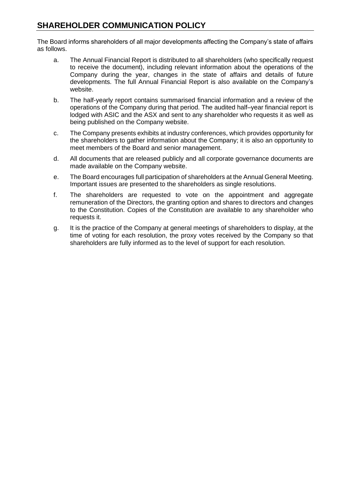# <span id="page-22-0"></span>**SHAREHOLDER COMMUNICATION POLICY**

The Board informs shareholders of all major developments affecting the Company's state of affairs as follows.

- a. The Annual Financial Report is distributed to all shareholders (who specifically request to receive the document), including relevant information about the operations of the Company during the year, changes in the state of affairs and details of future developments. The full Annual Financial Report is also available on the Company's website.
- b. The half-yearly report contains summarised financial information and a review of the operations of the Company during that period. The audited half–year financial report is lodged with ASIC and the ASX and sent to any shareholder who requests it as well as being published on the Company website.
- c. The Company presents exhibits at industry conferences, which provides opportunity for the shareholders to gather information about the Company; it is also an opportunity to meet members of the Board and senior management.
- d. All documents that are released publicly and all corporate governance documents are made available on the Company website.
- e. The Board encourages full participation of shareholders at the Annual General Meeting. Important issues are presented to the shareholders as single resolutions.
- f. The shareholders are requested to vote on the appointment and aggregate remuneration of the Directors, the granting option and shares to directors and changes to the Constitution. Copies of the Constitution are available to any shareholder who requests it.
- g. It is the practice of the Company at general meetings of shareholders to display, at the time of voting for each resolution, the proxy votes received by the Company so that shareholders are fully informed as to the level of support for each resolution.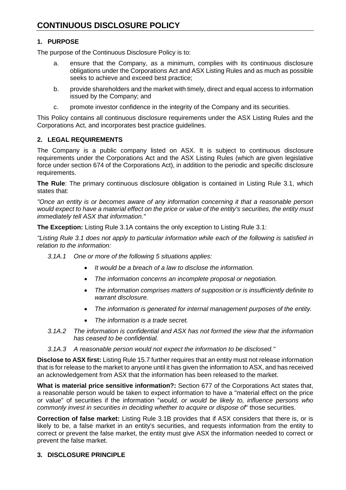# <span id="page-23-0"></span>**1. PURPOSE**

The purpose of the Continuous Disclosure Policy is to:

- a. ensure that the Company, as a minimum, complies with its continuous disclosure obligations under the Corporations Act and ASX Listing Rules and as much as possible seeks to achieve and exceed best practice;
- b. provide shareholders and the market with timely, direct and equal access to information issued by the Company; and
- c. promote investor confidence in the integrity of the Company and its securities.

This Policy contains all continuous disclosure requirements under the ASX Listing Rules and the Corporations Act, and incorporates best practice guidelines.

# **2. LEGAL REQUIREMENTS**

The Company is a public company listed on ASX. It is subject to continuous disclosure requirements under the Corporations Act and the ASX Listing Rules (which are given legislative force under section 674 of the Corporations Act), in addition to the periodic and specific disclosure requirements.

**The Rule**: The primary continuous disclosure obligation is contained in Listing Rule 3.1, which states that:

*"Once an entity is or becomes aware of any information concerning it that a reasonable person would expect to have a material effect on the price or value of the entity's securities, the entity must immediately tell ASX that information."*

**The Exception:** Listing Rule 3.1A contains the only exception to Listing Rule 3.1:

*"Listing Rule 3.1 does not apply to particular information while each of the following is satisfied in relation to the information:*

- *3.1A.1 One or more of the following 5 situations applies:*
	- *It would be a breach of a law to disclose the information.*
	- *The information concerns an incomplete proposal or negotiation.*
	- *The information comprises matters of supposition or is insufficiently definite to warrant disclosure.*
	- *The information is generated for internal management purposes of the entity.*
	- *The information is a trade secret.*
- *3.1A.2 The information is confidential and ASX has not formed the view that the information has ceased to be confidential.*
- *3.1A.3 A reasonable person would not expect the information to be disclosed."*

**Disclose to ASX first:** Listing Rule 15.7 further requires that an entity must not release information that is for release to the market to anyone until it has given the information to ASX, and has received an acknowledgement from ASX that the information has been released to the market.

**What is material price sensitive information?:** Section 677 of the Corporations Act states that, a reasonable person would be taken to expect information to have a "material effect on the price or value" of securities if the information "*would, or would be likely to, influence persons who commonly invest in securities in deciding whether to acquire or dispose of*" those securities.

**Correction of false market:** Listing Rule 3.1B provides that if ASX considers that there is, or is likely to be, a false market in an entity's securities, and requests information from the entity to correct or prevent the false market, the entity must give ASX the information needed to correct or prevent the false market.

# **3. DISCLOSURE PRINCIPLE**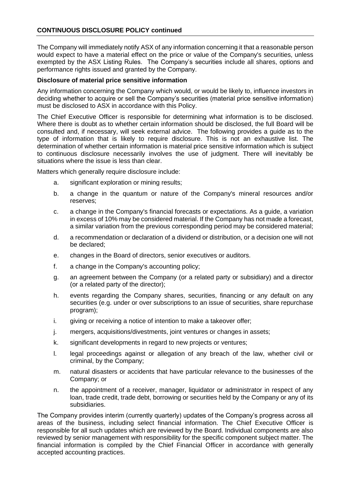#### **CONTINUOUS DISCLOSURE POLICY continued**

The Company will immediately notify ASX of any information concerning it that a reasonable person would expect to have a material effect on the price or value of the Company's securities, unless exempted by the ASX Listing Rules. The Company's securities include all shares, options and performance rights issued and granted by the Company.

#### **Disclosure of material price sensitive information**

Any information concerning the Company which would, or would be likely to, influence investors in deciding whether to acquire or sell the Company's securities (material price sensitive information) must be disclosed to ASX in accordance with this Policy.

The Chief Executive Officer is responsible for determining what information is to be disclosed. Where there is doubt as to whether certain information should be disclosed, the full Board will be consulted and, if necessary, will seek external advice. The following provides a guide as to the type of information that is likely to require disclosure. This is not an exhaustive list. The determination of whether certain information is material price sensitive information which is subject to continuous disclosure necessarily involves the use of judgment. There will inevitably be situations where the issue is less than clear.

Matters which generally require disclosure include:

- a. significant exploration or mining results;
- b. a change in the quantum or nature of the Company's mineral resources and/or reserves;
- c. a change in the Company's financial forecasts or expectations. As a guide, a variation in excess of 10% may be considered material. If the Company has not made a forecast, a similar variation from the previous corresponding period may be considered material;
- d. a recommendation or declaration of a dividend or distribution, or a decision one will not be declared;
- e. changes in the Board of directors, senior executives or auditors.
- f. a change in the Company's accounting policy;
- g. an agreement between the Company (or a related party or subsidiary) and a director (or a related party of the director);
- h. events regarding the Company shares, securities, financing or any default on any securities (e.g. under or over subscriptions to an issue of securities, share repurchase program);
- i. giving or receiving a notice of intention to make a takeover offer;
- j. mergers, acquisitions/divestments, joint ventures or changes in assets;
- k. significant developments in regard to new projects or ventures;
- l. legal proceedings against or allegation of any breach of the law, whether civil or criminal, by the Company;
- m. natural disasters or accidents that have particular relevance to the businesses of the Company; or
- n. the appointment of a receiver, manager, liquidator or administrator in respect of any loan, trade credit, trade debt, borrowing or securities held by the Company or any of its subsidiaries.

The Company provides interim (currently quarterly) updates of the Company's progress across all areas of the business, including select financial information. The Chief Executive Officer is responsible for all such updates which are reviewed by the Board. Individual components are also reviewed by senior management with responsibility for the specific component subject matter. The financial information is compiled by the Chief Financial Officer in accordance with generally accepted accounting practices.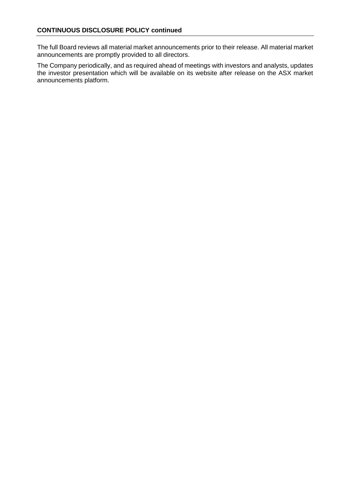The full Board reviews all material market announcements prior to their release. All material market announcements are promptly provided to all directors.

The Company periodically, and as required ahead of meetings with investors and analysts, updates the investor presentation which will be available on its website after release on the ASX market announcements platform.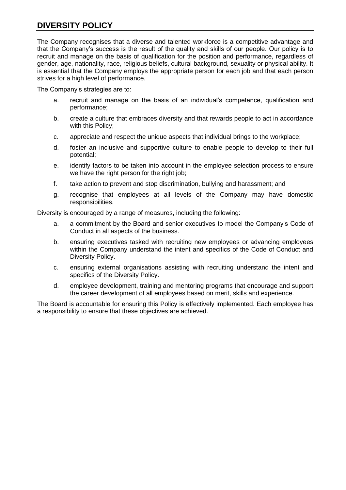# <span id="page-26-0"></span>**DIVERSITY POLICY**

The Company recognises that a diverse and talented workforce is a competitive advantage and that the Company's success is the result of the quality and skills of our people. Our policy is to recruit and manage on the basis of qualification for the position and performance, regardless of gender, age, nationality, race, religious beliefs, cultural background, sexuality or physical ability. It is essential that the Company employs the appropriate person for each job and that each person strives for a high level of performance.

The Company's strategies are to:

- a. recruit and manage on the basis of an individual's competence, qualification and performance;
- b. create a culture that embraces diversity and that rewards people to act in accordance with this Policy;
- c. appreciate and respect the unique aspects that individual brings to the workplace;
- d. foster an inclusive and supportive culture to enable people to develop to their full potential;
- e. identify factors to be taken into account in the employee selection process to ensure we have the right person for the right job;
- f. take action to prevent and stop discrimination, bullying and harassment; and
- g. recognise that employees at all levels of the Company may have domestic responsibilities.

Diversity is encouraged by a range of measures, including the following:

- a. a commitment by the Board and senior executives to model the Company's Code of Conduct in all aspects of the business.
- b. ensuring executives tasked with recruiting new employees or advancing employees within the Company understand the intent and specifics of the Code of Conduct and Diversity Policy.
- c. ensuring external organisations assisting with recruiting understand the intent and specifics of the Diversity Policy.
- d. employee development, training and mentoring programs that encourage and support the career development of all employees based on merit, skills and experience.

The Board is accountable for ensuring this Policy is effectively implemented. Each employee has a responsibility to ensure that these objectives are achieved.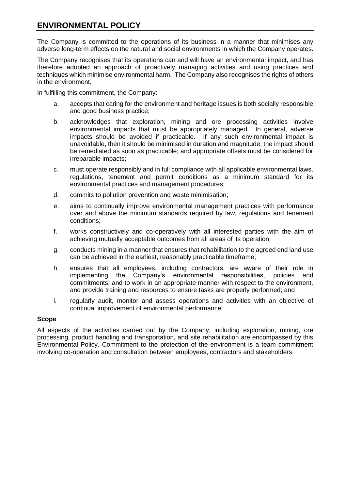# <span id="page-27-0"></span>**ENVIRONMENTAL POLICY**

The Company is committed to the operations of its business in a manner that minimises any adverse long-term effects on the natural and social environments in which the Company operates.

The Company recognises that its operations can and will have an environmental impact, and has therefore adopted an approach of proactively managing activities and using practices and techniques which minimise environmental harm. The Company also recognises the rights of others in the environment.

In fulfilling this commitment, the Company:

- a. accepts that caring for the environment and heritage issues is both socially responsible and good business practice;
- b. acknowledges that exploration, mining and ore processing activities involve environmental impacts that must be appropriately managed. In general, adverse impacts should be avoided if practicable. If any such environmental impact is unavoidable, then it should be minimised in duration and magnitude; the impact should be remediated as soon as practicable; and appropriate offsets must be considered for irreparable impacts;
- c. must operate responsibly and in full compliance with all applicable environmental laws, regulations, tenement and permit conditions as a minimum standard for its environmental practices and management procedures;
- d. commits to pollution prevention and waste minimisation;
- e. aims to continually improve environmental management practices with performance over and above the minimum standards required by law, regulations and tenement conditions;
- f. works constructively and co-operatively with all interested parties with the aim of achieving mutually acceptable outcomes from all areas of its operation;
- g. conducts mining in a manner that ensures that rehabilitation to the agreed end land use can be achieved in the earliest, reasonably practicable timeframe;
- h. ensures that all employees, including contractors, are aware of their role in implementing the Company's environmental responsibilities, policies and commitments; and to work in an appropriate manner with respect to the environment, and provide training and resources to ensure tasks are properly performed; and
- i. regularly audit, monitor and assess operations and activities with an objective of continual improvement of environmental performance.

### **Scope**

All aspects of the activities carried out by the Company, including exploration, mining, ore processing, product handling and transportation, and site rehabilitation are encompassed by this Environmental Policy. Commitment to the protection of the environment is a team commitment involving co-operation and consultation between employees, contractors and stakeholders.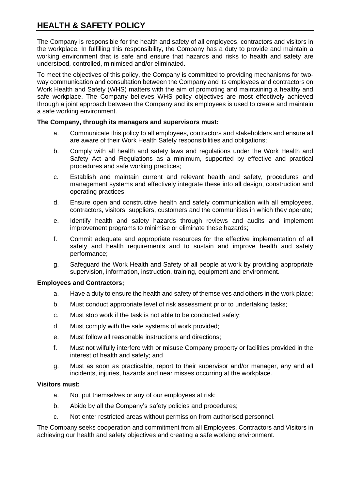# <span id="page-28-0"></span>**HEALTH & SAFETY POLICY**

The Company is responsible for the health and safety of all employees, contractors and visitors in the workplace. In fulfilling this responsibility, the Company has a duty to provide and maintain a working environment that is safe and ensure that hazards and risks to health and safety are understood, controlled, minimised and/or eliminated.

To meet the objectives of this policy, the Company is committed to providing mechanisms for twoway communication and consultation between the Company and its employees and contractors on Work Health and Safety (WHS) matters with the aim of promoting and maintaining a healthy and safe workplace. The Company believes WHS policy objectives are most effectively achieved through a joint approach between the Company and its employees is used to create and maintain a safe working environment.

#### **The Company, through its managers and supervisors must:**

- a. Communicate this policy to all employees, contractors and stakeholders and ensure all are aware of their Work Health Safety responsibilities and obligations;
- b. Comply with all health and safety laws and regulations under the Work Health and Safety Act and Regulations as a minimum, supported by effective and practical procedures and safe working practices;
- c. Establish and maintain current and relevant health and safety, procedures and management systems and effectively integrate these into all design, construction and operating practices;
- d. Ensure open and constructive health and safety communication with all employees, contractors, visitors, suppliers, customers and the communities in which they operate;
- e. Identify health and safety hazards through reviews and audits and implement improvement programs to minimise or eliminate these hazards;
- f. Commit adequate and appropriate resources for the effective implementation of all safety and health requirements and to sustain and improve health and safety performance;
- g. Safeguard the Work Health and Safety of all people at work by providing appropriate supervision, information, instruction, training, equipment and environment.

#### **Employees and Contractors;**

- a. Have a duty to ensure the health and safety of themselves and others in the work place;
- b. Must conduct appropriate level of risk assessment prior to undertaking tasks;
- c. Must stop work if the task is not able to be conducted safely;
- d. Must comply with the safe systems of work provided;
- e. Must follow all reasonable instructions and directions;
- f. Must not wilfully interfere with or misuse Company property or facilities provided in the interest of health and safety; and
- g. Must as soon as practicable, report to their supervisor and/or manager, any and all incidents, injuries, hazards and near misses occurring at the workplace.

#### **Visitors must:**

- a. Not put themselves or any of our employees at risk;
- b. Abide by all the Company's safety policies and procedures;
- c. Not enter restricted areas without permission from authorised personnel.

The Company seeks cooperation and commitment from all Employees, Contractors and Visitors in achieving our health and safety objectives and creating a safe working environment.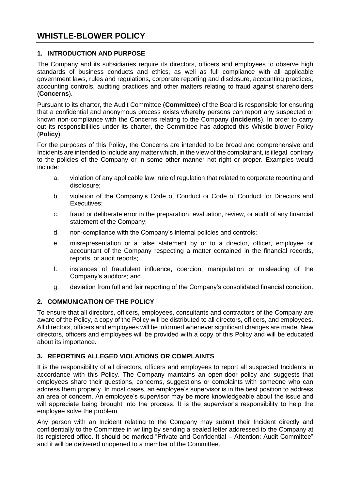# <span id="page-29-0"></span>**WHISTLE-BLOWER POLICY**

### **1. INTRODUCTION AND PURPOSE**

The Company and its subsidiaries require its directors, officers and employees to observe high standards of business conducts and ethics, as well as full compliance with all applicable government laws, rules and regulations, corporate reporting and disclosure, accounting practices, accounting controls, auditing practices and other matters relating to fraud against shareholders (**Concerns**).

Pursuant to its charter, the Audit Committee (**Committee**) of the Board is responsible for ensuring that a confidential and anonymous process exists whereby persons can report any suspected or known non-compliance with the Concerns relating to the Company (**Incidents**). In order to carry out its responsibilities under its charter, the Committee has adopted this Whistle-blower Policy (**Policy**).

For the purposes of this Policy, the Concerns are intended to be broad and comprehensive and Incidents are intended to include any matter which, in the view of the complainant, is illegal, contrary to the policies of the Company or in some other manner not right or proper. Examples would include:

- a. violation of any applicable law, rule of regulation that related to corporate reporting and disclosure;
- b. violation of the Company's Code of Conduct or Code of Conduct for Directors and Executives;
- c. fraud or deliberate error in the preparation, evaluation, review, or audit of any financial statement of the Company;
- d. non-compliance with the Company's internal policies and controls;
- e. misrepresentation or a false statement by or to a director, officer, employee or accountant of the Company respecting a matter contained in the financial records, reports, or audit reports;
- f. instances of fraudulent influence, coercion, manipulation or misleading of the Company's auditors; and
- g. deviation from full and fair reporting of the Company's consolidated financial condition.

### **2. COMMUNICATION OF THE POLICY**

To ensure that all directors, officers, employees, consultants and contractors of the Company are aware of the Policy, a copy of the Policy will be distributed to all directors, officers, and employees. All directors, officers and employees will be informed whenever significant changes are made. New directors, officers and employees will be provided with a copy of this Policy and will be educated about its importance.

### **3. REPORTING ALLEGED VIOLATIONS OR COMPLAINTS**

It is the responsibility of all directors, officers and employees to report all suspected Incidents in accordance with this Policy. The Company maintains an open-door policy and suggests that employees share their questions, concerns, suggestions or complaints with someone who can address them properly. In most cases, an employee's supervisor is in the best position to address an area of concern. An employee's supervisor may be more knowledgeable about the issue and will appreciate being brought into the process. It is the supervisor's responsibility to help the employee solve the problem.

Any person with an Incident relating to the Company may submit their Incident directly and confidentially to the Committee in writing by sending a sealed letter addressed to the Company at its registered office. It should be marked "Private and Confidential – Attention: Audit Committee" and it will be delivered unopened to a member of the Committee.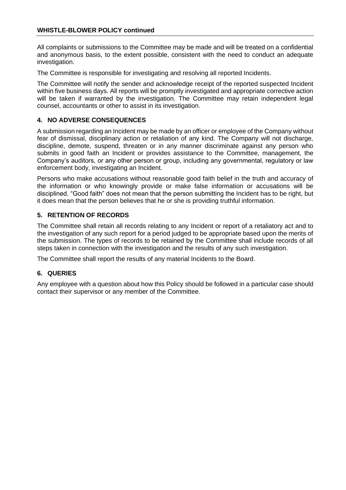#### **WHISTLE-BLOWER POLICY continued**

All complaints or submissions to the Committee may be made and will be treated on a confidential and anonymous basis, to the extent possible, consistent with the need to conduct an adequate investigation.

The Committee is responsible for investigating and resolving all reported Incidents.

The Committee will notify the sender and acknowledge receipt of the reported suspected Incident within five business days. All reports will be promptly investigated and appropriate corrective action will be taken if warranted by the investigation. The Committee may retain independent legal counsel, accountants or other to assist in its investigation.

## **4. NO ADVERSE CONSEQUENCES**

A submission regarding an Incident may be made by an officer or employee of the Company without fear of dismissal, disciplinary action or retaliation of any kind. The Company will not discharge, discipline, demote, suspend, threaten or in any manner discriminate against any person who submits in good faith an Incident or provides assistance to the Committee, management, the Company's auditors, or any other person or group, including any governmental, regulatory or law enforcement body, investigating an Incident.

Persons who make accusations without reasonable good faith belief in the truth and accuracy of the information or who knowingly provide or make false information or accusations will be disciplined. "Good faith" does not mean that the person submitting the Incident has to be right, but it does mean that the person believes that he or she is providing truthful information.

## **5. RETENTION OF RECORDS**

The Committee shall retain all records relating to any Incident or report of a retaliatory act and to the investigation of any such report for a period judged to be appropriate based upon the merits of the submission. The types of records to be retained by the Committee shall include records of all steps taken in connection with the investigation and the results of any such investigation.

The Committee shall report the results of any material Incidents to the Board.

### **6. QUERIES**

Any employee with a question about how this Policy should be followed in a particular case should contact their supervisor or any member of the Committee.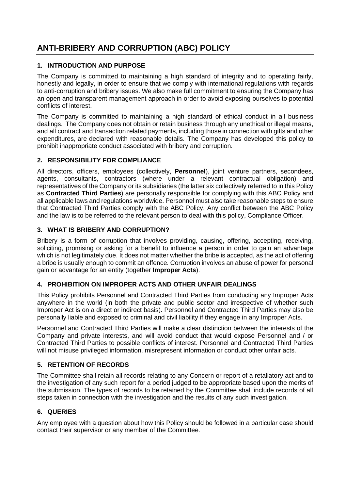# <span id="page-31-0"></span>**ANTI-BRIBERY AND CORRUPTION (ABC) POLICY**

# **1. INTRODUCTION AND PURPOSE**

The Company is committed to maintaining a high standard of integrity and to operating fairly, honestly and legally, in order to ensure that we comply with international regulations with regards to anti-corruption and bribery issues. We also make full commitment to ensuring the Company has an open and transparent management approach in order to avoid exposing ourselves to potential conflicts of interest.

The Company is committed to maintaining a high standard of ethical conduct in all business dealings. The Company does not obtain or retain business through any unethical or illegal means, and all contract and transaction related payments, including those in connection with gifts and other expenditures, are declared with reasonable details. The Company has developed this policy to prohibit inappropriate conduct associated with bribery and corruption.

# **2. RESPONSIBILITY FOR COMPLIANCE**

All directors, officers, employees (collectively, **Personnel**), joint venture partners, secondees, agents, consultants, contractors (where under a relevant contractual obligation) and representatives of the Company or its subsidiaries (the latter six collectively referred to in this Policy as **Contracted Third Parties**) are personally responsible for complying with this ABC Policy and all applicable laws and regulations worldwide. Personnel must also take reasonable steps to ensure that Contracted Third Parties comply with the ABC Policy. Any conflict between the ABC Policy and the law is to be referred to the relevant person to deal with this policy, Compliance Officer.

## **3. WHAT IS BRIBERY AND CORRUPTION?**

Bribery is a form of corruption that involves providing, causing, offering, accepting, receiving, soliciting, promising or asking for a benefit to influence a person in order to gain an advantage which is not legitimately due. It does not matter whether the bribe is accepted, as the act of offering a bribe is usually enough to commit an offence. Corruption involves an abuse of power for personal gain or advantage for an entity (together **Improper Acts**).

## **4. PROHIBITION ON IMPROPER ACTS AND OTHER UNFAIR DEALINGS**

This Policy prohibits Personnel and Contracted Third Parties from conducting any Improper Acts anywhere in the world (in both the private and public sector and irrespective of whether such Improper Act is on a direct or indirect basis). Personnel and Contracted Third Parties may also be personally liable and exposed to criminal and civil liability if they engage in any Improper Acts.

Personnel and Contracted Third Parties will make a clear distinction between the interests of the Company and private interests, and will avoid conduct that would expose Personnel and / or Contracted Third Parties to possible conflicts of interest. Personnel and Contracted Third Parties will not misuse privileged information, misrepresent information or conduct other unfair acts.

## **5. RETENTION OF RECORDS**

The Committee shall retain all records relating to any Concern or report of a retaliatory act and to the investigation of any such report for a period judged to be appropriate based upon the merits of the submission. The types of records to be retained by the Committee shall include records of all steps taken in connection with the investigation and the results of any such investigation.

## **6. QUERIES**

Any employee with a question about how this Policy should be followed in a particular case should contact their supervisor or any member of the Committee.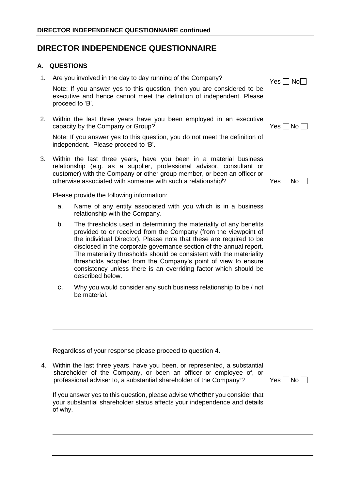# **DIRECTOR INDEPENDENCE QUESTIONNAIRE**

## **A. QUESTIONS**

| 1. |                                                                                                                                                                     | Are you involved in the day to day running of the Company?                                                                                                                                                                                                                                                                                                                                                                                                                                                           | $Yes \Box No \Box$ |  |  |
|----|---------------------------------------------------------------------------------------------------------------------------------------------------------------------|----------------------------------------------------------------------------------------------------------------------------------------------------------------------------------------------------------------------------------------------------------------------------------------------------------------------------------------------------------------------------------------------------------------------------------------------------------------------------------------------------------------------|--------------------|--|--|
|    |                                                                                                                                                                     | Note: If you answer yes to this question, then you are considered to be<br>executive and hence cannot meet the definition of independent. Please<br>proceed to 'B'.                                                                                                                                                                                                                                                                                                                                                  |                    |  |  |
| 2. |                                                                                                                                                                     | Within the last three years have you been employed in an executive<br>capacity by the Company or Group?                                                                                                                                                                                                                                                                                                                                                                                                              | $Yes \Box No$      |  |  |
|    |                                                                                                                                                                     | Note: If you answer yes to this question, you do not meet the definition of<br>independent. Please proceed to 'B'.                                                                                                                                                                                                                                                                                                                                                                                                   |                    |  |  |
| 3. |                                                                                                                                                                     | Within the last three years, have you been in a material business<br>relationship (e.g. as a supplier, professional advisor, consultant or<br>customer) with the Company or other group member, or been an officer or<br>otherwise associated with someone with such a relationship <sup>1</sup> ?                                                                                                                                                                                                                   | Yes ∐No            |  |  |
|    |                                                                                                                                                                     | Please provide the following information:                                                                                                                                                                                                                                                                                                                                                                                                                                                                            |                    |  |  |
|    | a.                                                                                                                                                                  | Name of any entity associated with you which is in a business<br>relationship with the Company.                                                                                                                                                                                                                                                                                                                                                                                                                      |                    |  |  |
|    | b.                                                                                                                                                                  | The thresholds used in determining the materiality of any benefits<br>provided to or received from the Company (from the viewpoint of<br>the individual Director). Please note that these are required to be<br>disclosed in the corporate governance section of the annual report.<br>The materiality thresholds should be consistent with the materiality<br>thresholds adopted from the Company's point of view to ensure<br>consistency unless there is an overriding factor which should be<br>described below. |                    |  |  |
|    | C.                                                                                                                                                                  | Why you would consider any such business relationship to be / not<br>be material.                                                                                                                                                                                                                                                                                                                                                                                                                                    |                    |  |  |
|    |                                                                                                                                                                     |                                                                                                                                                                                                                                                                                                                                                                                                                                                                                                                      |                    |  |  |
|    |                                                                                                                                                                     |                                                                                                                                                                                                                                                                                                                                                                                                                                                                                                                      |                    |  |  |
|    |                                                                                                                                                                     |                                                                                                                                                                                                                                                                                                                                                                                                                                                                                                                      |                    |  |  |
|    |                                                                                                                                                                     | Regardless of your response please proceed to question 4.                                                                                                                                                                                                                                                                                                                                                                                                                                                            |                    |  |  |
| 4. |                                                                                                                                                                     | Within the last three years, have you been, or represented, a substantial<br>shareholder of the Company, or been an officer or employee of, or<br>professional adviser to, a substantial shareholder of the Company <sup>ii</sup> ?                                                                                                                                                                                                                                                                                  | $Yes \Box No$      |  |  |
|    | If you answer yes to this question, please advise whether you consider that<br>your substantial shareholder status affects your independence and details<br>of why. |                                                                                                                                                                                                                                                                                                                                                                                                                                                                                                                      |                    |  |  |
|    |                                                                                                                                                                     |                                                                                                                                                                                                                                                                                                                                                                                                                                                                                                                      |                    |  |  |
|    |                                                                                                                                                                     |                                                                                                                                                                                                                                                                                                                                                                                                                                                                                                                      |                    |  |  |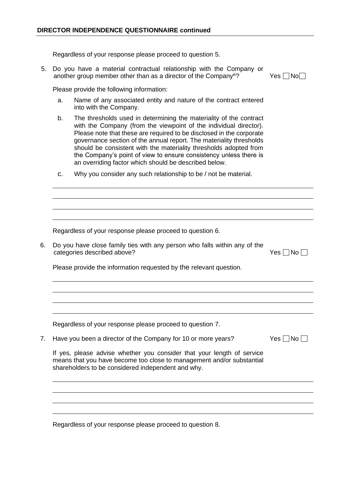Regardless of your response please proceed to question 5.

5. Do you have a material contractual relationship with the Company or another group member other than as a director of the Company<sup>iii</sup>? Yes  $\Box$  No $\Box$ 

Please provide the following information:

- a. Name of any associated entity and nature of the contract entered into with the Company.
- b. The thresholds used in determining the materiality of the contract with the Company (from the viewpoint of the individual director). Please note that these are required to be disclosed in the corporate governance section of the annual report. The materiality thresholds should be consistent with the materiality thresholds adopted from the Company's point of view to ensure consistency unless there is an overriding factor which should be described below.
- c. Why you consider any such relationship to be / not be material.

Regardless of your response please proceed to question 6.

6. Do you have close family ties with any person who falls within any of the  $c$ ategories described above?  $Y$ es  $\Box$  No $\Box$ 

Please provide the information requested by the relevant question.

Regardless of your response please proceed to question 7.

7. Have you been a director of the Company for 10 or more years?

| . . |  | N<br>N٥ |  |
|-----|--|---------|--|
|-----|--|---------|--|

If yes, please advise whether you consider that your length of service means that you have become too close to management and/or substantial shareholders to be considered independent and why.

Regardless of your response please proceed to question 8.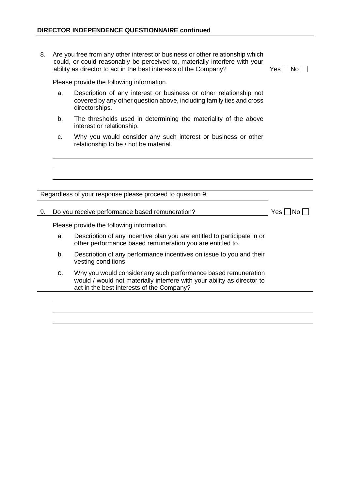8. Are you free from any other interest or business or other relationship which could, or could reasonably be perceived to, materially interfere with your ability as director to act in the best interests of the Company? Yes  $\Box$  No  $\Box$ 

Please provide the following information.

- a. Description of any interest or business or other relationship not covered by any other question above, including family ties and cross directorships.
- b. The thresholds used in determining the materiality of the above interest or relationship.
- c. Why you would consider any such interest or business or other relationship to be / not be material.

Regardless of your response please proceed to question 9.

9. Do you receive performance based remuneration?  $Yes \Box No \Box$ 

Please provide the following information.

- a. Description of any incentive plan you are entitled to participate in or other performance based remuneration you are entitled to.
- b. Description of any performance incentives on issue to you and their vesting conditions.
- c. Why you would consider any such performance based remuneration would / would not materially interfere with your ability as director to act in the best interests of the Company?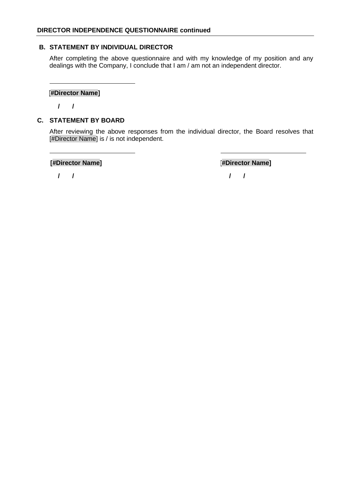### **B. STATEMENT BY INDIVIDUAL DIRECTOR**

After completing the above questionnaire and with my knowledge of my position and any dealings with the Company, I conclude that I am / am not an independent director.

### **[#Director Name]**

 **/ /**

## **C. STATEMENT BY BOARD**

After reviewing the above responses from the individual director, the Board resolves that [#Director Name] is / is not independent.

**[#Director Name] [#Director Name]**

 **/ / / /**